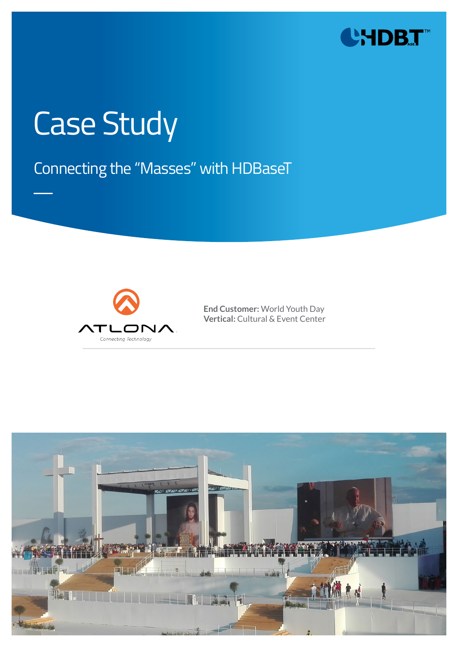

# Case Study

## Connecting the "Masses" with HDBaseT



**End Customer:** World Youth Day **Vertical:** Cultural & Event Center